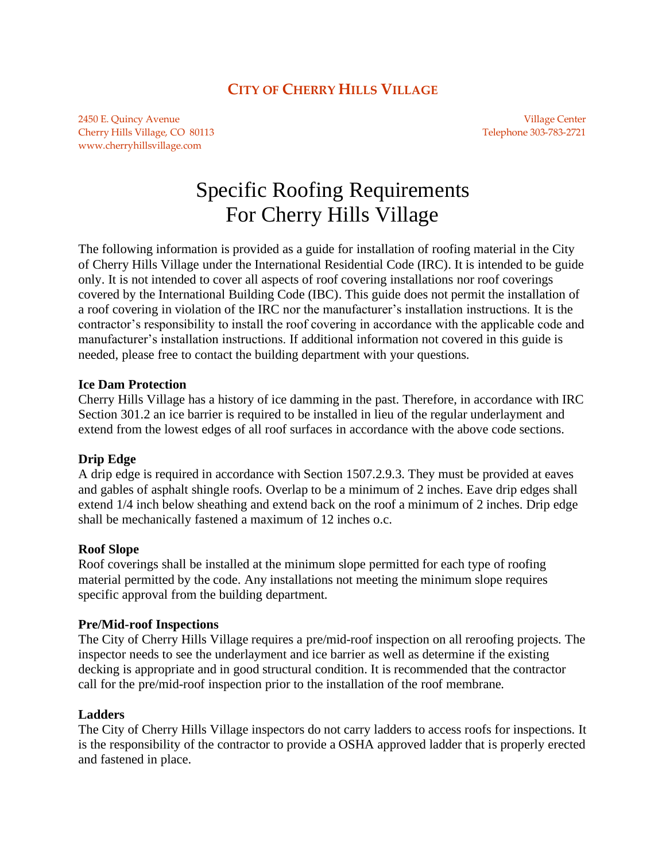# **CITY OF CHERRY HILLS VILLAGE**

2450 E. Quincy Avenue Village Center Cherry Hills Village, CO 80113 Telephone 303-783-2721 www.cherryhillsvillage.com

# Specific Roofing Requirements For Cherry Hills Village

The following information is provided as a guide for installation of roofing material in the City of Cherry Hills Village under the International Residential Code (IRC). It is intended to be guide only. It is not intended to cover all aspects of roof covering installations nor roof coverings covered by the International Building Code (IBC). This guide does not permit the installation of a roof covering in violation of the IRC nor the manufacturer's installation instructions. It is the contractor's responsibility to install the roof covering in accordance with the applicable code and manufacturer's installation instructions. If additional information not covered in this guide is needed, please free to contact the building department with your questions.

#### **Ice Dam Protection**

Cherry Hills Village has a history of ice damming in the past. Therefore, in accordance with IRC Section 301.2 an ice barrier is required to be installed in lieu of the regular underlayment and extend from the lowest edges of all roof surfaces in accordance with the above code sections.

#### **Drip Edge**

A drip edge is required in accordance with Section 1507.2.9.3. They must be provided at eaves and gables of asphalt shingle roofs. Overlap to be a minimum of 2 inches. Eave drip edges shall extend 1/4 inch below sheathing and extend back on the roof a minimum of 2 inches. Drip edge shall be mechanically fastened a maximum of 12 inches o.c.

#### **Roof Slope**

Roof coverings shall be installed at the minimum slope permitted for each type of roofing material permitted by the code. Any installations not meeting the minimum slope requires specific approval from the building department.

#### **Pre/Mid-roof Inspections**

The City of Cherry Hills Village requires a pre/mid-roof inspection on all reroofing projects. The inspector needs to see the underlayment and ice barrier as well as determine if the existing decking is appropriate and in good structural condition. It is recommended that the contractor call for the pre/mid-roof inspection prior to the installation of the roof membrane.

#### **Ladders**

The City of Cherry Hills Village inspectors do not carry ladders to access roofs for inspections. It is the responsibility of the contractor to provide a OSHA approved ladder that is properly erected and fastened in place.